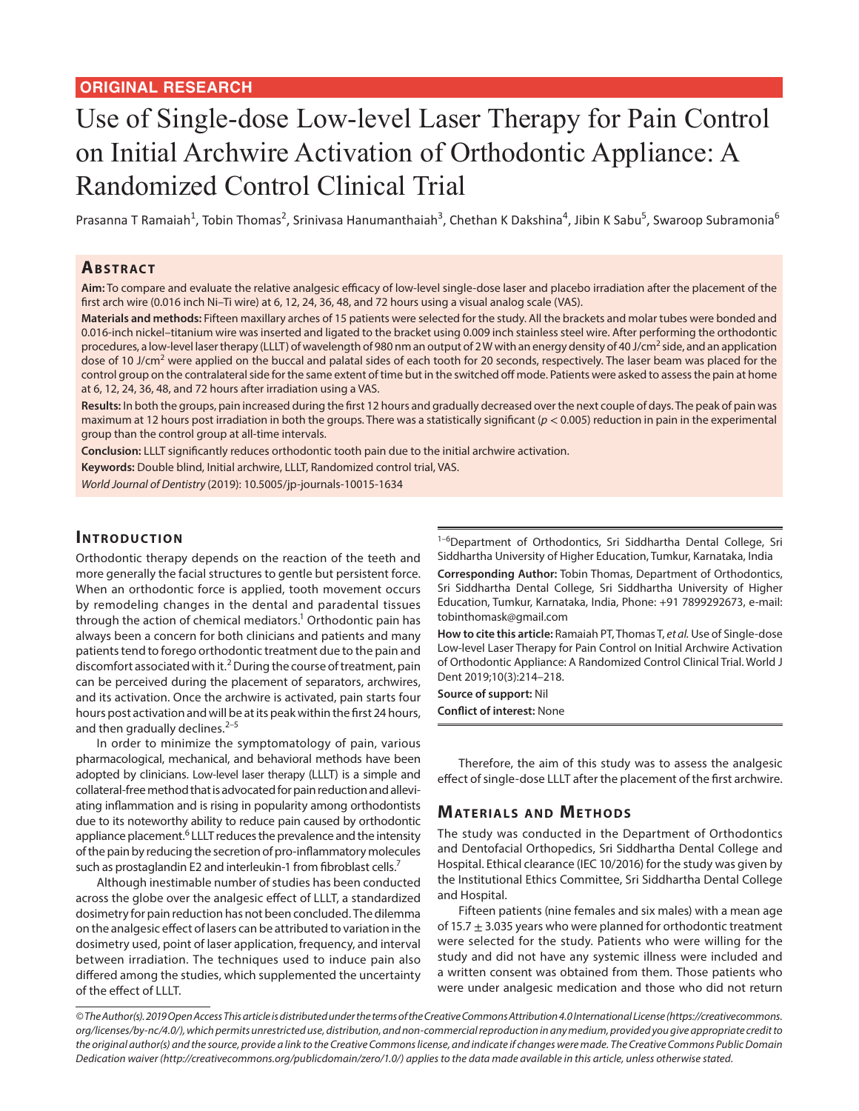# Use of Single-dose Low-level Laser Therapy for Pain Control on Initial Archwire Activation of Orthodontic Appliance: A Randomized Control Clinical Trial

Prasanna T Ramaiah<sup>1</sup>, Tobin Thomas<sup>2</sup>, Srinivasa Hanumanthaiah<sup>3</sup>, Chethan K Dakshina<sup>4</sup>, Jibin K Sabu<sup>5</sup>, Swaroop Subramonia<sup>6</sup>

#### **ABSTRACT**

**Aim:** To compare and evaluate the relative analgesic efficacy of low-level single-dose laser and placebo irradiation after the placement of the first arch wire (0.016 inch Ni–Ti wire) at 6, 12, 24, 36, 48, and 72 hours using a visual analog scale (VAS).

**Materials and methods:** Fifteen maxillary arches of 15 patients were selected for the study. All the brackets and molar tubes were bonded and 0.016-inch nickel–titanium wire was inserted and ligated to the bracket using 0.009 inch stainless steel wire. After performing the orthodontic procedures, a low-level laser therapy (LLLT) of wavelength of 980 nm an output of 2W with an energy density of 40 J/cm<sup>2</sup> side, and an application dose of 10 J/cm<sup>2</sup> were applied on the buccal and palatal sides of each tooth for 20 seconds, respectively. The laser beam was placed for the control group on the contralateral side for the same extent of time but in the switched off mode. Patients were asked to assess the pain at home at 6, 12, 24, 36, 48, and 72 hours after irradiation using a VAS.

**Results:** In both the groups, pain increased during the first 12 hours and gradually decreased over the next couple of days. The peak of pain was maximum at 12 hours post irradiation in both the groups. There was a statistically significant (*p* < 0.005) reduction in pain in the experimental group than the control group at all-time intervals.

**Conclusion:** LLLT significantly reduces orthodontic tooth pain due to the initial archwire activation.

**Keywords:** Double blind, Initial archwire, LLLT, Randomized control trial, VAS.

*World Journal of Dentistry* (2019): 10.5005/jp-journals-10015-1634

#### **INTRODUCTION**

Orthodontic therapy depends on the reaction of the teeth and more generally the facial structures to gentle but persistent force. When an orthodontic force is applied, tooth movement occurs by remodeling changes in the dental and paradental tissues through the action of chemical mediators.<sup>1</sup> Orthodontic pain has always been a concern for both clinicians and patients and many patients tend to forego orthodontic treatment due to the pain and discomfort associated with it.<sup>2</sup> During the course of treatment, pain can be perceived during the placement of separators, archwires, and its activation. Once the archwire is activated, pain starts four hours post activation and will be at its peak within the first 24 hours, and then gradually declines. $2-5$ 

In order to minimize the symptomatology of pain, various pharmacological, mechanical, and behavioral methods have been adopted by clinicians. Low-level laser therapy (LLLT) is a simple and collateral-free method that is advocated for pain reduction and alleviating inflammation and is rising in popularity among orthodontists due to its noteworthy ability to reduce pain caused by orthodontic appliance placement.<sup>6</sup> LLLT reduces the prevalence and the intensity of the pain by reducing the secretion of pro-inflammatory molecules such as prostaglandin E2 and interleukin-1 from fibroblast cells.<sup>7</sup>

Although inestimable number of studies has been conducted across the globe over the analgesic effect of LLLT, a standardized dosimetry for pain reduction has not been concluded. The dilemma on the analgesic effect of lasers can be attributed to variation in the dosimetry used, point of laser application, frequency, and interval between irradiation. The techniques used to induce pain also differed among the studies, which supplemented the uncertainty of the effect of LLLT.

<sup>1–6</sup>Department of Orthodontics, Sri Siddhartha Dental College, Sri Siddhartha University of Higher Education, Tumkur, Karnataka, India

**Corresponding Author:** Tobin Thomas, Department of Orthodontics, Sri Siddhartha Dental College, Sri Siddhartha University of Higher Education, Tumkur, Karnataka, India, Phone: +91 7899292673, e-mail: tobinthomask@gmail.com

**How to cite this article:** Ramaiah PT, Thomas T, *et al.* Use of Single-dose Low-level Laser Therapy for Pain Control on Initial Archwire Activation of Orthodontic Appliance: A Randomized Control Clinical Trial. World J Dent 2019;10(3):214–218.

**Source of support:** Nil

**Conflict of interest:** None

Therefore, the aim of this study was to assess the analgesic effect of single-dose LLLT after the placement of the first archwire.

### **MATERIALS AND METHODS**

The study was conducted in the Department of Orthodontics and Dentofacial Orthopedics, Sri Siddhartha Dental College and Hospital. Ethical clearance (IEC 10/2016) for the study was given by the Institutional Ethics Committee, Sri Siddhartha Dental College and Hospital.

Fifteen patients (nine females and six males) with a mean age of 15.7  $\pm$  3.035 years who were planned for orthodontic treatment were selected for the study. Patients who were willing for the study and did not have any systemic illness were included and a written consent was obtained from them. Those patients who were under analgesic medication and those who did not return

*<sup>©</sup> The Author(s). 2019 Open Access This article is distributed under the terms of the Creative Commons Attribution 4.0 International License (https://creativecommons. org/licenses/by-nc/4.0/), which permits unrestricted use, distribution, and non-commercial reproduction in any medium, provided you give appropriate credit to the original author(s) and the source, provide a link to the Creative Commons license, and indicate if changes were made. The Creative Commons Public Domain Dedication waiver (http://creativecommons.org/publicdomain/zero/1.0/) applies to the data made available in this article, unless otherwise stated.*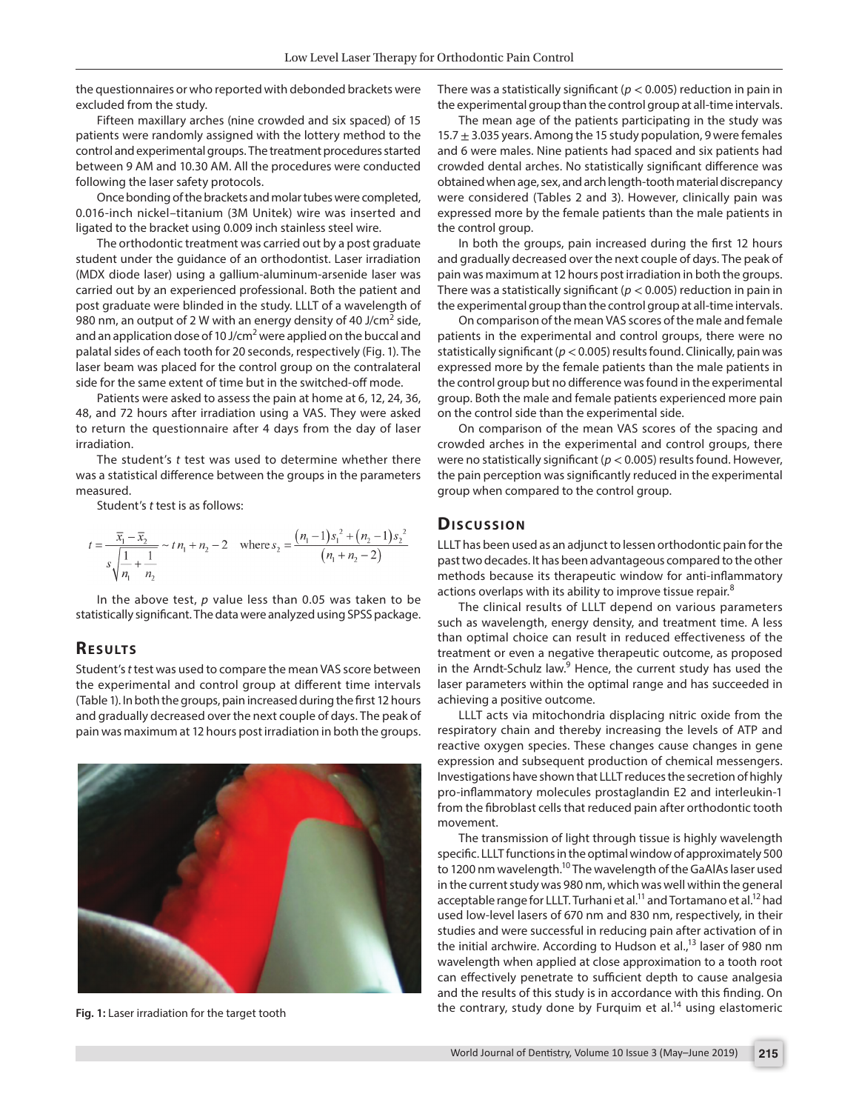the questionnaires or who reported with debonded brackets were excluded from the study.

Fifteen maxillary arches (nine crowded and six spaced) of 15 patients were randomly assigned with the lottery method to the control and experimental groups. The treatment procedures started between 9 AM and 10.30 AM. All the procedures were conducted following the laser safety protocols.

Once bonding of the brackets and molar tubes were completed, 0.016-inch nickel–titanium (3M Unitek) wire was inserted and ligated to the bracket using 0.009 inch stainless steel wire.

The orthodontic treatment was carried out by a post graduate student under the guidance of an orthodontist. Laser irradiation (MDX diode laser) using a gallium-aluminum-arsenide laser was carried out by an experienced professional. Both the patient and post graduate were blinded in the study. LLLT of a wavelength of 980 nm, an output of 2 W with an energy density of 40 J/cm<sup>2</sup> side, and an application dose of 10 J/cm<sup>2</sup> were applied on the buccal and palatal sides of each tooth for 20 seconds, respectively (Fig. 1). The laser beam was placed for the control group on the contralateral side for the same extent of time but in the switched-off mode.

Patients were asked to assess the pain at home at 6, 12, 24, 36, 48, and 72 hours after irradiation using a VAS. They were asked to return the questionnaire after 4 days from the day of laser irradiation.

The student's *t* test was used to determine whether there was a statistical difference between the groups in the parameters measured.

Student's *t* test is as follows:

$$
t = \frac{\overline{x}_1 - \overline{x}_2}{s\sqrt{\frac{1}{n_1} + \frac{1}{n_2}}} \sim t\,n_1 + n_2 - 2 \quad \text{where } s_2 = \frac{(n_1 - 1)s_1^2 + (n_2 - 1)s_2^2}{(n_1 + n_2 - 2)}
$$

In the above test, *p* value less than 0.05 was taken to be statistically significant. The data were analyzed using SPSS package.

#### **RESULTS**

Student's *t* test was used to compare the mean VAS score between the experimental and control group at different time intervals (Table 1). In both the groups, pain increased during the first 12 hours and gradually decreased over the next couple of days. The peak of pain was maximum at 12 hours post irradiation in both the groups.



There was a statistically significant ( $p < 0.005$ ) reduction in pain in the experimental group than the control group at all-time intervals.

The mean age of the patients participating in the study was 15.7  $\pm$  3.035 years. Among the 15 study population, 9 were females and 6 were males. Nine patients had spaced and six patients had crowded dental arches. No statistically significant difference was obtained when age, sex, and arch length-tooth material discrepancy were considered (Tables 2 and 3). However, clinically pain was expressed more by the female patients than the male patients in the control group.

In both the groups, pain increased during the first 12 hours and gradually decreased over the next couple of days. The peak of pain was maximum at 12 hours post irradiation in both the groups. There was a statistically significant ( $p < 0.005$ ) reduction in pain in the experimental group than the control group at all-time intervals.

On comparison of the mean VAS scores of the male and female patients in the experimental and control groups, there were no statistically significant (*p*< 0.005) results found. Clinically, pain was expressed more by the female patients than the male patients in the control group but no difference was found in the experimental group. Both the male and female patients experienced more pain on the control side than the experimental side.

On comparison of the mean VAS scores of the spacing and crowded arches in the experimental and control groups, there were no statistically significant (*p* < 0.005) results found. However, the pain perception was significantly reduced in the experimental group when compared to the control group.

#### **Dis c u s sio n**

LLLT has been used as an adjunct to lessen orthodontic pain for the past two decades. It has been advantageous compared to the other methods because its therapeutic window for anti-inflammatory actions overlaps with its ability to improve tissue repair.<sup>8</sup>

The clinical results of LLLT depend on various parameters such as wavelength, energy density, and treatment time. A less than optimal choice can result in reduced effectiveness of the treatment or even a negative therapeutic outcome, as proposed in the Arndt-Schulz law.<sup>9</sup> Hence, the current study has used the laser parameters within the optimal range and has succeeded in achieving a positive outcome.

LLLT acts via mitochondria displacing nitric oxide from the respiratory chain and thereby increasing the levels of ATP and reactive oxygen species. These changes cause changes in gene expression and subsequent production of chemical messengers. Investigations have shown that LLLT reduces the secretion of highly pro-inflammatory molecules prostaglandin E2 and interleukin-1 from the fibroblast cells that reduced pain after orthodontic tooth movement.

The transmission of light through tissue is highly wavelength specific. LLLT functions in the optimal window of approximately 500 to 1200 nm wavelength.<sup>10</sup> The wavelength of the GaAlAs laser used in the current study was 980 nm, which was well within the general acceptable range for LLLT. Turhani et al.<sup>11</sup> and Tortamano et al.<sup>12</sup> had used low-level lasers of 670 nm and 830 nm, respectively, in their studies and were successful in reducing pain after activation of in the initial archwire. According to Hudson et al.,<sup>13</sup> laser of 980 nm wavelength when applied at close approximation to a tooth root can effectively penetrate to sufficient depth to cause analgesia and the results of this study is in accordance with this finding. On the contrary, study done by Furquim et al.14 using elastomeric **Fig. 1:** Laser irradiation for the target tooth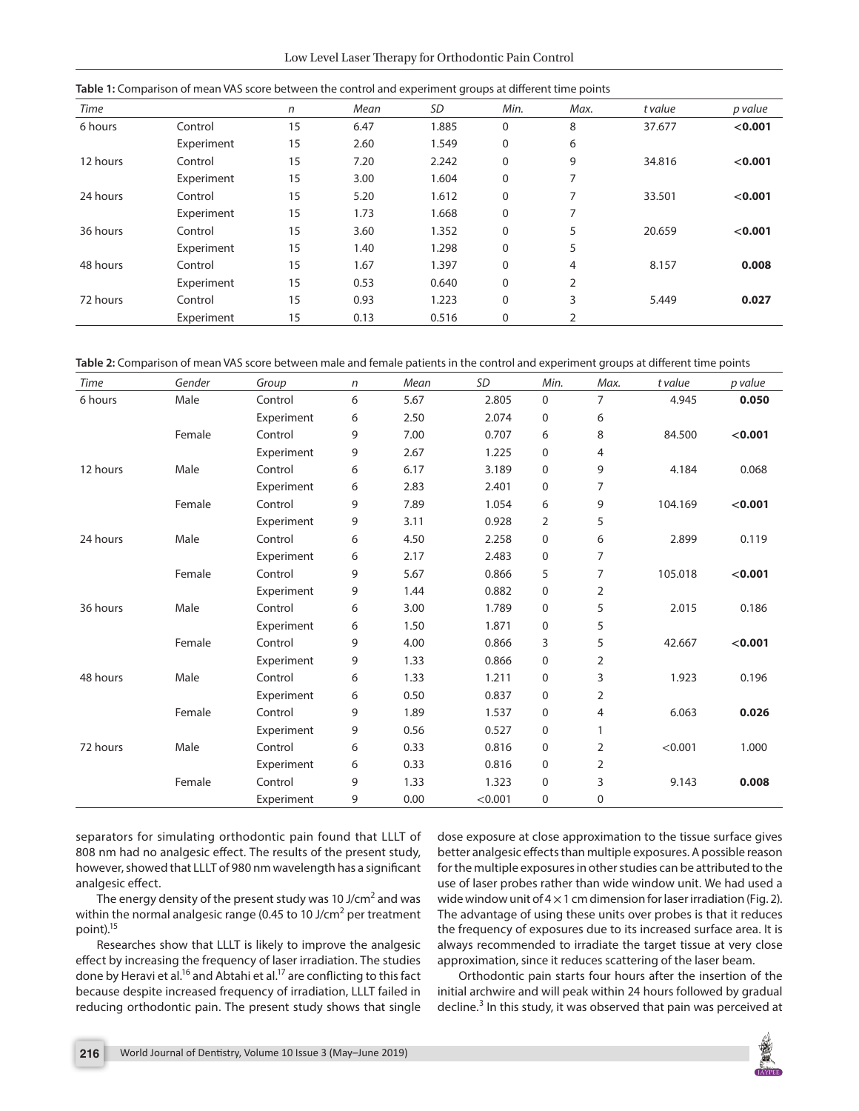Low Level Laser Therapy for Orthodontic Pain Control

|  |  | Table 1: Comparison of mean VAS score between the control and experiment groups at different time points |  |
|--|--|----------------------------------------------------------------------------------------------------------|--|
|  |  |                                                                                                          |  |

| Time     |            | n  | Mean | SD    | Min.         | Max.           | t value | p value |
|----------|------------|----|------|-------|--------------|----------------|---------|---------|
| 6 hours  | Control    | 15 | 6.47 | 1.885 | $\mathbf 0$  | 8              | 37.677  | < 0.001 |
|          | Experiment | 15 | 2.60 | 1.549 | 0            | 6              |         |         |
| 12 hours | Control    | 15 | 7.20 | 2.242 | $\mathbf 0$  | 9              | 34.816  | < 0.001 |
|          | Experiment | 15 | 3.00 | 1.604 | $\mathbf 0$  | 7              |         |         |
| 24 hours | Control    | 15 | 5.20 | 1.612 | 0            | ⇁              | 33.501  | < 0.001 |
|          | Experiment | 15 | 1.73 | 1.668 | $\mathbf{0}$ | 7              |         |         |
| 36 hours | Control    | 15 | 3.60 | 1.352 | $\mathbf 0$  | 5              | 20.659  | < 0.001 |
|          | Experiment | 15 | 1.40 | 1.298 | 0            | 5              |         |         |
| 48 hours | Control    | 15 | 1.67 | 1.397 | 0            | 4              | 8.157   | 0.008   |
|          | Experiment | 15 | 0.53 | 0.640 | $\mathbf 0$  | $\overline{2}$ |         |         |
| 72 hours | Control    | 15 | 0.93 | 1.223 | $\mathbf 0$  | 3              | 5.449   | 0.027   |
|          | Experiment | 15 | 0.13 | 0.516 | $\mathbf 0$  | 2              |         |         |

**Table 2:** Comparison of mean VAS score between male and female patients in the control and experiment groups at different time points

| <b>Time</b> | Gender | Group      | $\mathsf{n}$ | Mean | <b>SD</b> | Min.        | Max.           | t value | p value |
|-------------|--------|------------|--------------|------|-----------|-------------|----------------|---------|---------|
| 6 hours     | Male   | Control    | 6            | 5.67 | 2.805     | 0           | $\overline{7}$ | 4.945   | 0.050   |
|             |        | Experiment | 6            | 2.50 | 2.074     | 0           | 6              |         |         |
|             | Female | Control    | 9            | 7.00 | 0.707     | 6           | 8              | 84.500  | < 0.001 |
|             |        | Experiment | 9            | 2.67 | 1.225     | 0           | 4              |         |         |
| 12 hours    | Male   | Control    | 6            | 6.17 | 3.189     | 0           | 9              | 4.184   | 0.068   |
|             |        | Experiment | 6            | 2.83 | 2.401     | 0           | $\overline{7}$ |         |         |
|             | Female | Control    | 9            | 7.89 | 1.054     | 6           | 9              | 104.169 | < 0.001 |
|             |        | Experiment | 9            | 3.11 | 0.928     | 2           | 5              |         |         |
| 24 hours    | Male   | Control    | 6            | 4.50 | 2.258     | $\mathbf 0$ | 6              | 2.899   | 0.119   |
|             |        | Experiment | 6            | 2.17 | 2.483     | 0           | $\overline{7}$ |         |         |
|             | Female | Control    | 9            | 5.67 | 0.866     | 5           | $\overline{7}$ | 105.018 | < 0.001 |
|             |        | Experiment | 9            | 1.44 | 0.882     | 0           | $\overline{2}$ |         |         |
| 36 hours    | Male   | Control    | 6            | 3.00 | 1.789     | 0           | 5              | 2.015   | 0.186   |
|             |        | Experiment | 6            | 1.50 | 1.871     | 0           | 5              |         |         |
|             | Female | Control    | 9            | 4.00 | 0.866     | 3           | 5              | 42.667  | < 0.001 |
|             |        | Experiment | 9            | 1.33 | 0.866     | 0           | $\overline{2}$ |         |         |
| 48 hours    | Male   | Control    | 6            | 1.33 | 1.211     | 0           | 3              | 1.923   | 0.196   |
|             |        | Experiment | 6            | 0.50 | 0.837     | $\mathbf 0$ | $\overline{2}$ |         |         |
|             | Female | Control    | 9            | 1.89 | 1.537     | 0           | 4              | 6.063   | 0.026   |
|             |        | Experiment | 9            | 0.56 | 0.527     | $\mathbf 0$ | 1              |         |         |
| 72 hours    | Male   | Control    | 6            | 0.33 | 0.816     | 0           | $\overline{2}$ | < 0.001 | 1.000   |
|             |        | Experiment | 6            | 0.33 | 0.816     | 0           | $\overline{2}$ |         |         |
|             | Female | Control    | 9            | 1.33 | 1.323     | 0           | 3              | 9.143   | 0.008   |
|             |        | Experiment | 9            | 0.00 | < 0.001   | 0           | 0              |         |         |

separators for simulating orthodontic pain found that LLLT of 808 nm had no analgesic effect. The results of the present study, however, showed that LLLT of 980 nm wavelength has a significant analgesic effect.

The energy density of the present study was 10 J/cm<sup>2</sup> and was within the normal analgesic range (0.45 to 10 J/cm<sup>2</sup> per treatment point).15

Researches show that LLLT is likely to improve the analgesic effect by increasing the frequency of laser irradiation. The studies done by Heravi et al.<sup>16</sup> and Abtahi et al.<sup>17</sup> are conflicting to this fact because despite increased frequency of irradiation, LLLT failed in reducing orthodontic pain. The present study shows that single

dose exposure at close approximation to the tissue surface gives better analgesic effects than multiple exposures. A possible reason for the multiple exposures in other studies can be attributed to the use of laser probes rather than wide window unit. We had used a wide window unit of  $4 \times 1$  cm dimension for laser irradiation (Fig. 2). The advantage of using these units over probes is that it reduces the frequency of exposures due to its increased surface area. It is always recommended to irradiate the target tissue at very close approximation, since it reduces scattering of the laser beam.

Orthodontic pain starts four hours after the insertion of the initial archwire and will peak within 24 hours followed by gradual decline.<sup>3</sup> In this study, it was observed that pain was perceived at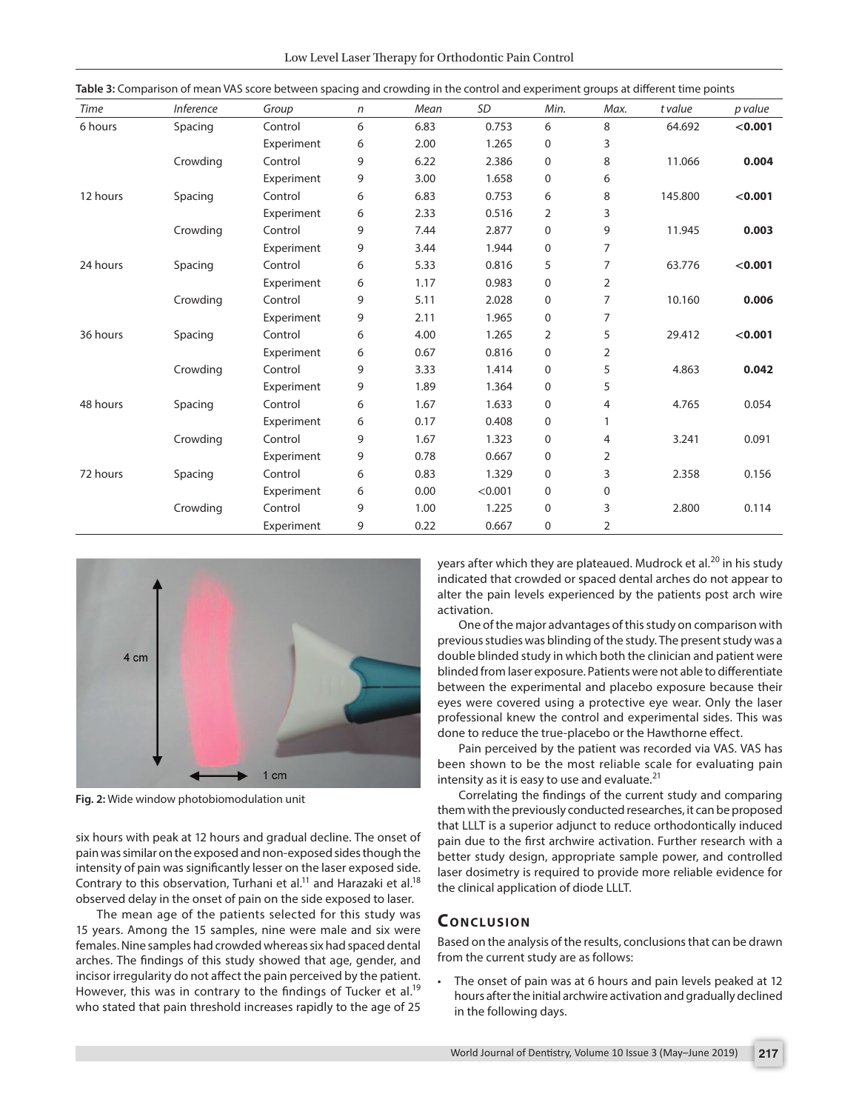| Low Level Laser Therapy for Orthodontic Pain Control |  |
|------------------------------------------------------|--|
|------------------------------------------------------|--|

| Time     | <b>Inference</b> | Group      | n | Mean | <b>SD</b> | Min.             | Max.           | t value | p value |
|----------|------------------|------------|---|------|-----------|------------------|----------------|---------|---------|
| 6 hours  | Spacing          | Control    | 6 | 6.83 | 0.753     | 6                | 8              | 64.692  | < 0.001 |
|          |                  | Experiment | 6 | 2.00 | 1.265     | 0                | 3              |         |         |
|          | Crowding         | Control    | 9 | 6.22 | 2.386     | 0                | 8              | 11.066  | 0.004   |
|          |                  | Experiment | 9 | 3.00 | 1.658     | 0                | 6              |         |         |
| 12 hours | Spacing          | Control    | 6 | 6.83 | 0.753     | 6                | 8              | 145.800 | < 0.001 |
|          |                  | Experiment | 6 | 2.33 | 0.516     | $\overline{2}$   | 3              |         |         |
|          | Crowding         | Control    | 9 | 7.44 | 2.877     | 0                | 9              | 11.945  | 0.003   |
|          |                  | Experiment | 9 | 3.44 | 1.944     | 0                | $\overline{7}$ |         |         |
| 24 hours | Spacing          | Control    | 6 | 5.33 | 0.816     | 5                | 7              | 63.776  | < 0.001 |
|          |                  | Experiment | 6 | 1.17 | 0.983     | $\boldsymbol{0}$ | 2              |         |         |
|          | Crowding         | Control    | 9 | 5.11 | 2.028     | 0                | 7              | 10.160  | 0.006   |
|          |                  | Experiment | 9 | 2.11 | 1.965     | 0                | 7              |         |         |
| 36 hours | Spacing          | Control    | 6 | 4.00 | 1.265     | 2                | 5              | 29.412  | < 0.001 |
|          |                  | Experiment | 6 | 0.67 | 0.816     | 0                | 2              |         |         |
|          | Crowding         | Control    | 9 | 3.33 | 1.414     | 0                | 5              | 4.863   | 0.042   |
|          |                  | Experiment | 9 | 1.89 | 1.364     | 0                | 5              |         |         |
| 48 hours | Spacing          | Control    | 6 | 1.67 | 1.633     | $\mathbf 0$      | 4              | 4.765   | 0.054   |
|          |                  | Experiment | 6 | 0.17 | 0.408     | 0                | 1              |         |         |
|          | Crowding         | Control    | 9 | 1.67 | 1.323     | 0                | 4              | 3.241   | 0.091   |
|          |                  | Experiment | 9 | 0.78 | 0.667     | $\mathbf 0$      | 2              |         |         |
| 72 hours | Spacing          | Control    | 6 | 0.83 | 1.329     | 0                | 3              | 2.358   | 0.156   |
|          |                  | Experiment | 6 | 0.00 | < 0.001   | 0                | 0              |         |         |
|          | Crowding         | Control    | 9 | 1.00 | 1.225     | 0                | 3              | 2.800   | 0.114   |
|          |                  | Experiment | 9 | 0.22 | 0.667     | 0                | 2              |         |         |

**Table 3:** Comparison of mean VAS score between spacing and crowding in the control and experiment groups at different time points



**Fig. 2:** Wide window photobiomodulation unit

six hours with peak at 12 hours and gradual decline. The onset of pain was similar on the exposed and non-exposed sides though the intensity of pain was significantly lesser on the laser exposed side. Contrary to this observation, Turhani et al.<sup>11</sup> and Harazaki et al.<sup>18</sup> observed delay in the onset of pain on the side exposed to laser.

The mean age of the patients selected for this study was 15 years. Among the 15 samples, nine were male and six were females. Nine samples had crowded whereas six had spaced dental arches. The findings of this study showed that age, gender, and incisor irregularity do not affect the pain perceived by the patient. However, this was in contrary to the findings of Tucker et al.<sup>19</sup> who stated that pain threshold increases rapidly to the age of 25

years after which they are plateaued. Mudrock et al.<sup>20</sup> in his study indicated that crowded or spaced dental arches do not appear to alter the pain levels experienced by the patients post arch wire activation.

One of the major advantages of this study on comparison with previous studies was blinding of the study. The present study was a double blinded study in which both the clinician and patient were blinded from laser exposure. Patients were not able to differentiate between the experimental and placebo exposure because their eyes were covered using a protective eye wear. Only the laser professional knew the control and experimental sides. This was done to reduce the true-placebo or the Hawthorne effect.

Pain perceived by the patient was recorded via VAS. VAS has been shown to be the most reliable scale for evaluating pain intensity as it is easy to use and evaluate. $21$ 

Correlating the findings of the current study and comparing them with the previously conducted researches, it can be proposed that LLLT is a superior adjunct to reduce orthodontically induced pain due to the first archwire activation. Further research with a better study design, appropriate sample power, and controlled laser dosimetry is required to provide more reliable evidence for the clinical application of diode LLLT.

#### **CONCLUSION**

Based on the analysis of the results, conclusions that can be drawn from the current study are as follows:

The onset of pain was at 6 hours and pain levels peaked at 12 hours after the initial archwire activation and gradually declined in the following days.